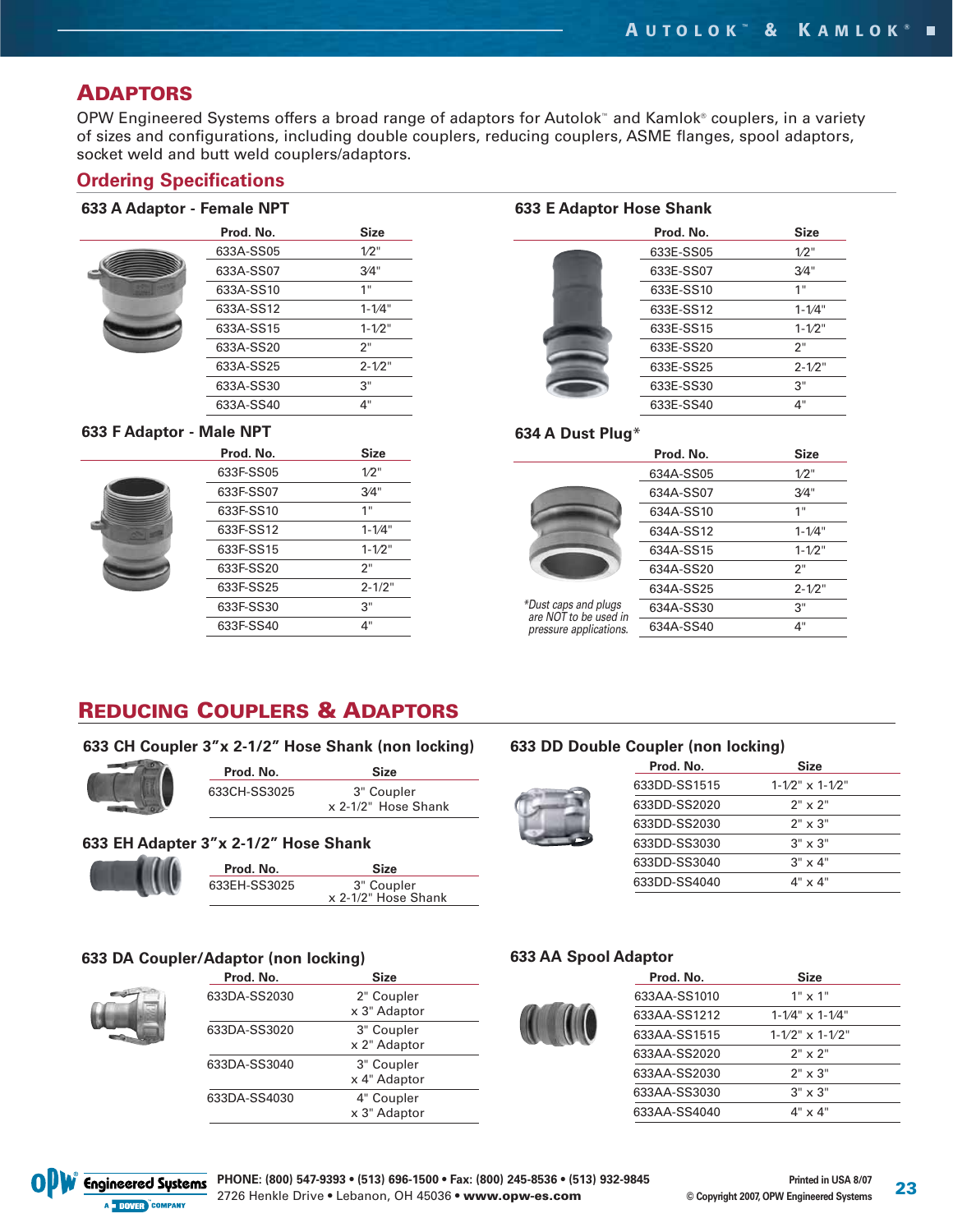## **ADAPTORS**

OPW Engineered Systems offers a broad range of adaptors for Autolok™ and Kamlok® couplers, in a variety of sizes and configurations, including double couplers, reducing couplers, ASME flanges, spool adaptors, socket weld and butt weld couplers/adaptors.

## **Ordering Specifications**

#### **633 A Adaptor - Female NPT**

| Prod. No. | <b>Size</b> |
|-----------|-------------|
| 633A-SS05 | 1/2"        |
| 633A-SS07 | 3/4"        |
| 633A-SS10 | 1"          |
| 633A-SS12 | $1 - 1/4"$  |
| 633A-SS15 | $1 - 1/2$ " |
| 633A-SS20 | 2"          |
| 633A-SS25 | $2 - 1/2$ " |
| 633A-SS30 | 3"          |
| 633A-SS40 | 4"          |
|           |             |

#### **633 F Adaptor - M**



| lale NPT  |             |  |
|-----------|-------------|--|
| Prod. No. | Size        |  |
| 633F-SS05 | 1/2"        |  |
| 633F-SS07 | 3/4"        |  |
| 633F-SS10 | 1"          |  |
| 633F-SS12 | $1 - 1/4"$  |  |
| 633F-SS15 | $1 - 1/2$ " |  |
| 633F-SS20 | 2"          |  |
| 633F-SS25 | $2 - 1/2"$  |  |
| 633F-SS30 | 3"          |  |
| 633F-SS40 | 4"          |  |

#### **633 E Adaptor Hose Shank**

| Prod. No. | Size        |
|-----------|-------------|
| 633E-SS05 | $1/2$ "     |
| 633E-SS07 | 3/4"        |
| 633E-SS10 | 1"          |
| 633E-SS12 | $1 - 1/4"$  |
| 633E-SS15 | $1 - 1/2"$  |
| 633E-SS20 | 2"          |
| 633E-SS25 | $2 - 1/2$ " |
| 633E-SS30 | 3"          |
| 633E-SS40 | 4"          |

#### **634 A Dust Plug**\*



\*Dust caps and plugs are NOT to be used in pressure applications.

| 634A-SS05 | 1/2"        |
|-----------|-------------|
| 634A-SS07 | 3/4"        |
| 634A-SS10 | 1"          |
| 634A-SS12 | $1 - 1/4"$  |
| 634A-SS15 | $1 - 1/2$ " |
| 634A-SS20 | 2"          |
| 634A-SS25 | $2 - 1/2"$  |
| 634A-SS30 | 3"          |
| 634A-SS40 | 4"          |

**Prod. No. Size**

## **REDUCING COUPLERS & ADAPTORS**

#### **633 CH Coupler 3"x 2-1/2" Hose Shank (non locking)**



| Prod. No.    | <b>Size</b>         |
|--------------|---------------------|
| 633CH-SS3025 | 3" Coupler          |
|              | x 2-1/2" Hose Shank |

#### **633 EH Adapter 3"x 2-1/2" Hose Shank**



| Prod. No.    | <b>Size</b>                       |
|--------------|-----------------------------------|
| 633EH-SS3025 | 3" Coupler<br>x 2-1/2" Hose Shank |

#### **633 DA Coupler/Adaptor (non locking) Prod. No. 3**



| FIUU. IVU.   | oize                       |  |
|--------------|----------------------------|--|
| 633DA-SS2030 | 2" Coupler<br>x 3" Adaptor |  |
| 633DA-SS3020 | 3" Coupler<br>x 2" Adaptor |  |
| 633DA-SS3040 | 3" Coupler<br>x 4" Adaptor |  |
| 633DA-SS4030 | 4" Coupler<br>x 3" Adaptor |  |
|              |                            |  |

### **633 DD Double Coupler (non locking)**

| Prod. No.    | <b>Size</b>                 |  |
|--------------|-----------------------------|--|
| 633DD-SS1515 | $1 - 1/2$ " $\times$ 1-1/2" |  |
| 633DD-SS2020 | $2" \times 2"$              |  |
| 633DD-SS2030 | $2" \times 3"$              |  |
| 633DD-SS3030 | $3" \times 3"$              |  |
| 633DD-SS3040 | $3" \times 4"$              |  |
| 633DD-SS4040 | 4" x 4"                     |  |

#### **633 AA Spool Adaptor**

| Prod. No.    | <b>Size</b>                 |
|--------------|-----------------------------|
| 633AA-SS1010 | $1" \times 1"$              |
| 633AA-SS1212 | $1 - 1/4$ " $\times$ 1-1/4" |
| 633AA-SS1515 | $1 - 1/2$ " $\times$ 1-1/2" |
| 633AA-SS2020 | $2" \times 2"$              |
| 633AA-SS2030 | $2" \times 3"$              |
| 633AA-SS3030 | $3" \times 3"$              |
| 633AA-SS4040 | $4" \times 4"$              |
|              |                             |

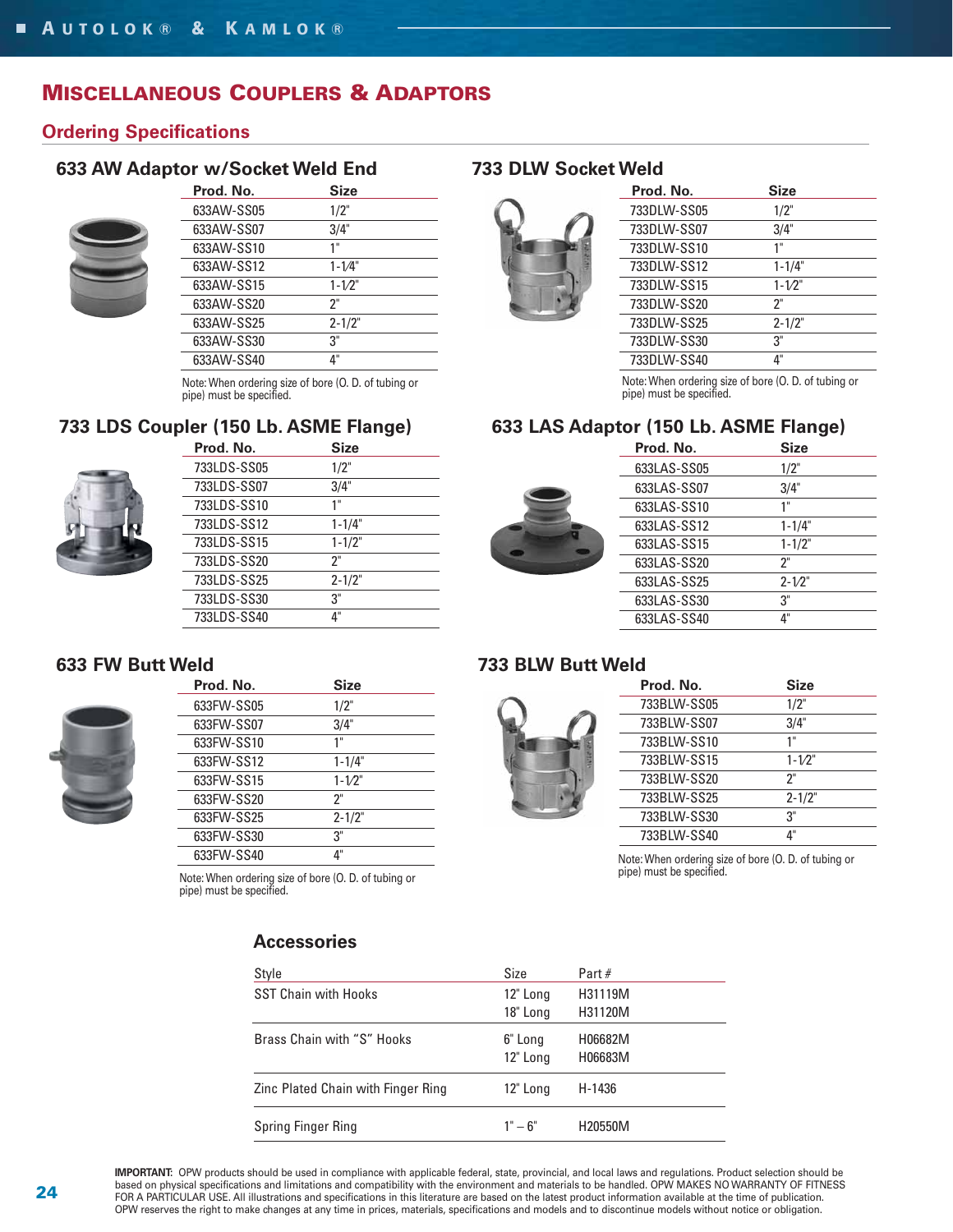## **MISCELLANEOUS COUPLERS & ADAPTORS**

## **Ordering Specifications**

## **633 AW Adaptor w/Socket Weld End**



| Prod. No.  | <b>Size</b> |  |
|------------|-------------|--|
| 633AW-SS05 | 1/2"        |  |
| 633AW-SS07 | 3/4"        |  |
| 633AW-SS10 | 1"          |  |
| 633AW-SS12 | $1 - 1/4"$  |  |
| 633AW-SS15 | $1 - 1/2"$  |  |
| 633AW-SS20 | ን"          |  |
| 633AW-SS25 | $2 - 1/2"$  |  |
| 633AW-SS30 | 3"          |  |
| 633AW-SS40 | 4"          |  |
|            |             |  |

Note: When ordering size of bore (O. D. of tubing or the content of the content of bore (O. D. of tubing or th<br>pipe) must be specified. The specified of the specified.

## **733 LDS Coupler (150 Lb. ASME Flange)**



| Prod. No.   | <b>Size</b> |  |
|-------------|-------------|--|
| 733LDS-SS05 | 1/2"        |  |
| 733LDS-SS07 | 3/4"        |  |
| 733LDS-SS10 | 1"          |  |
| 733LDS-SS12 | $1 - 1/4"$  |  |
| 733LDS-SS15 | $1 - 1/2"$  |  |
| 733LDS-SS20 | ን"          |  |
| 733LDS-SS25 | $2 - 1/2"$  |  |
| 733LDS-SS30 | 3"          |  |
| 733LDS-SS40 | 4"          |  |

## **733 DLW Socket Weld**



| Prod. No.   | <b>Size</b> |
|-------------|-------------|
| 733DLW-SS05 | 1/2"        |
| 733DLW-SS07 | 3/4"        |
| 733DLW-SS10 | 1"          |
| 733DLW-SS12 | $1 - 1/4"$  |
| 733DLW-SS15 | $1 - 1/2"$  |
| 733DLW-SS20 | ን"          |
| 733DLW-SS25 | $2 - 1/2"$  |
| 733DLW-SS30 | 3"          |
| 733DLW-SS40 | 4"          |
|             |             |

Note: When ordering size of bore (O. D. of tubing or

## **633 LAS Adaptor (150 Lb. ASME Flange)**

|  | Prod. No.   | <b>Size</b> |  |
|--|-------------|-------------|--|
|  | 633LAS-SS05 | 1/2"        |  |
|  | 633LAS-SS07 | 3/4"        |  |
|  | 633LAS-SS10 | 1"          |  |
|  | 633LAS-SS12 | $1 - 1/4"$  |  |
|  | 633LAS-SS15 | $1 - 1/2"$  |  |
|  | 633LAS-SS20 | ን"          |  |
|  | 633LAS-SS25 | $2 - 1/2"$  |  |
|  | 633LAS-SS30 | 3"          |  |
|  | 633LAS-SS40 | 4"          |  |
|  |             |             |  |

## **633 FW Butt V**



| Weld |            |            |  |  |  |
|------|------------|------------|--|--|--|
|      | Prod. No.  | Size       |  |  |  |
|      | 633FW-SS05 | 1/2"       |  |  |  |
|      | 633FW-SS07 | 3/4"       |  |  |  |
|      | 633FW-SS10 | 1"         |  |  |  |
|      | 633FW-SS12 | $1 - 1/4"$ |  |  |  |
|      | 633FW-SS15 | $1 - 1/2"$ |  |  |  |
|      | 633FW-SS20 | ን"         |  |  |  |
|      | 633FW-SS25 | $2 - 1/2"$ |  |  |  |
|      | 633FW-SS30 | 3"         |  |  |  |
|      | 633FW-SS40 | $4"$       |  |  |  |

Note: When ordering size of bore (O. D. of tubing or pipe) must be specified.

## **733 BLW Butt Weld**



| Prod. No.   | <b>Size</b> |  |
|-------------|-------------|--|
| 733BLW-SS05 | 1/2"        |  |
| 733BLW-SS07 | 3/4"        |  |
| 733BLW-SS10 | 1"          |  |
| 733BLW-SS15 | $1 - 1/2"$  |  |
| 733BLW-SS20 | ን"          |  |
| 733BLW-SS25 | $2 - 1/2"$  |  |
| 733BLW-SS30 | 3"          |  |
| 733BLW-SS40 | 4"          |  |

Note: When ordering size of bore (O. D. of tubing or pipe) must be specified.

| Style                              | Size                | Part $#$           |
|------------------------------------|---------------------|--------------------|
| <b>SST Chain with Hooks</b>        | 12" Long            | H31119M            |
|                                    | 18" Long            | H31120M            |
| Brass Chain with "S" Hooks         | 6" Long<br>12" Long | H06682M<br>H06683M |
| Zinc Plated Chain with Finger Ring | 12" Long            | H-1436             |
| Spring Finger Ring                 | $1 - 6$ "           | H20550M            |

## **Accessories**

**IMPORTANT:** OPW products should be used in compliance with applicable federal, state, provincial, and local laws and regulations. Product selection should be based on physical specifications and limitations and compatibility with the environment and materials to be handled. OPW MAKES NO WARRANTY OF FITNESS FOR A PARTICULAR USE. All illustrations and specifications in this literature are based on the latest product information available at the time of publication. OPW reserves the right to make changes at any time in prices, materials, specifications and models and to discontinue models without notice or obligation.